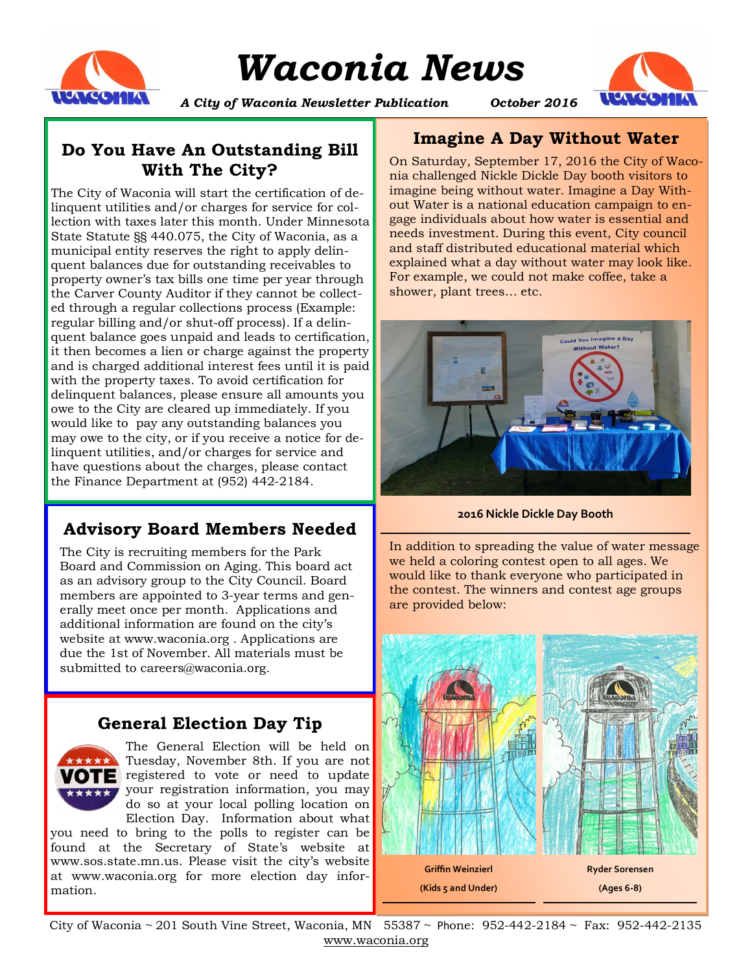

# *Waconia News*



*A City of Waconia Newsletter Publication October 2016*

## **Do You Have An Outstanding Bill With The City?**

The City of Waconia will start the certification of delinquent utilities and/or charges for service for collection with taxes later this month. Under Minnesota State Statute §§ 440.075, the City of Waconia, as a municipal entity reserves the right to apply delinquent balances due for outstanding receivables to property owner's tax bills one time per year through the Carver County Auditor if they cannot be collected through a regular collections process (Example: regular billing and/or shut-off process). If a delinquent balance goes unpaid and leads to certification, it then becomes a lien or charge against the property and is charged additional interest fees until it is paid with the property taxes. To avoid certification for delinquent balances, please ensure all amounts you owe to the City are cleared up immediately. If you would like to pay any outstanding balances you may owe to the city, or if you receive a notice for delinquent utilities, and/or charges for service and have questions about the charges, please contact the Finance Department at (952) 442-2184.

# **Advisory Board Members Needed**

The City is recruiting members for the Park Board and Commission on Aging. This board act as an advisory group to the City Council. Board members are appointed to 3-year terms and generally meet once per month. Applications and additional information are found on the city's website at www.waconia.org . Applications are due the 1st of November. All materials must be submitted to careers@waconia.org.

## **General Election Day Tip**



The General Election will be held on Tuesday, November 8th. If you are not **VOTE** registered to vote or need to update **\*\*\*\*\*** your registration information, you may do so at your local polling location on Election Day. Information about what

you need to bring to the polls to register can be found at the Secretary of State's website at www.sos.state.mn.us. Please visit the city's website at www.waconia.org for more election day information.

## **Imagine A Day Without Water**

On Saturday, September 17, 2016 the City of Waconia challenged Nickle Dickle Day booth visitors to imagine being without water. Imagine a Day Without Water is a national education campaign to engage individuals about how water is essential and needs investment. During this event, City council and staff distributed educational material which explained what a day without water may look like. For example, we could not make coffee, take a shower, plant trees… etc.



**2016 Nickle Dickle Day Booth** 

In addition to spreading the value of water message we held a coloring contest open to all ages. We would like to thank everyone who participated in the contest. The winners and contest age groups are provided below:



City of Waconia ~ 201 South Vine Street, Waconia, MN 55387 ~ Phone: 952-442-2184 ~ Fax: 952-442-2135 www.waconia.org